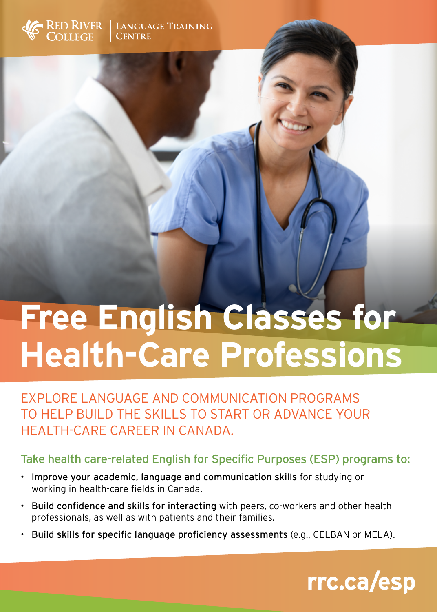

## **Free English Classes for Health-Care Professions**

EXPLORE LANGUAGE AND COMMUNICATION PROGRAMS TO HELP BUILD THE SKILLS TO START OR ADVANCE YOUR HEALTH-CARE CAREER IN CANADA.

## Take health care-related English for Specific Purposes (ESP) programs to:

- Improve your academic, language and communication skills for studying or working in health-care fields in Canada.
- Build confidence and skills for interacting with peers, co-workers and other health professionals, as well as with patients and their families.
- Build skills for specific language proficiency assessments (e.g., CELBAN or MELA).